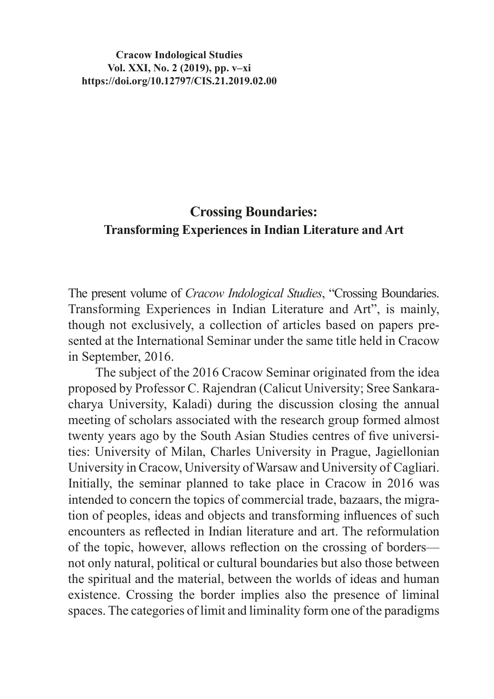**Cracow Indological Studies Vol. XXI, No. 2 (2019), pp. v–xi https://doi.org/10.12797/CIS.21.2019.02.00**

## **Crossing Boundaries: Transforming Experiences in Indian Literature and Art**

The present volume of *Cracow Indological Studies*, "Crossing Boundaries. Transforming Experiences in Indian Literature and Art", is mainly, though not exclusively, a collection of articles based on papers presented at the International Seminar under the same title held in Cracow in September, 2016.

The subject of the 2016 Cracow Seminar originated from the idea proposed by Professor C. Rajendran (Calicut University; Sree Sankaracharya University, Kaladi) during the discussion closing the annual meeting of scholars associated with the research group formed almost twenty years ago by the South Asian Studies centres of five universities: University of Milan, Charles University in Prague, Jagiellonian University in Cracow, University of Warsaw and University of Cagliari. Initially, the seminar planned to take place in Cracow in 2016 was intended to concern the topics of commercial trade, bazaars, the migration of peoples, ideas and objects and transforming influences of such encounters as reflected in Indian literature and art. The reformulation of the topic, however, allows reflection on the crossing of borders not only natural, political or cultural boundaries but also those between the spiritual and the material, between the worlds of ideas and human existence. Crossing the border implies also the presence of liminal spaces. The categories of limit and liminality form one of the paradigms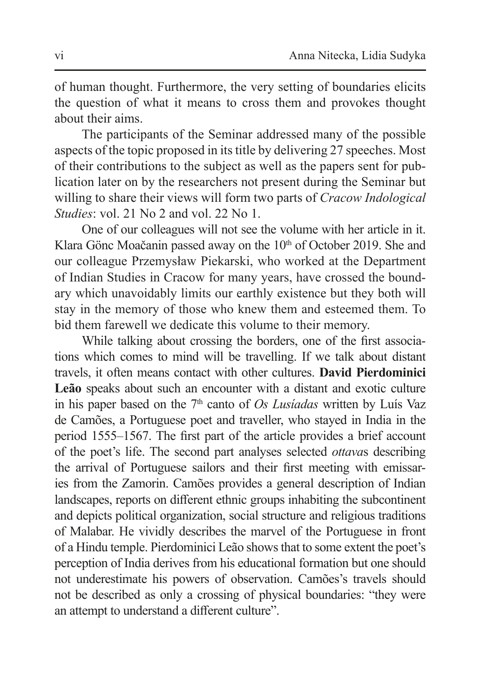of human thought. Furthermore, the very setting of boundaries elicits the question of what it means to cross them and provokes thought about their aims.

The participants of the Seminar addressed many of the possible aspects of the topic proposed in its title by delivering 27 speeches. Most of their contributions to the subject as well as the papers sent for publication later on by the researchers not present during the Seminar but willing to share their views will form two parts of *Cracow Indological Studies*: vol. 21 No 2 and vol. 22 No 1.

One of our colleagues will not see the volume with her article in it. Klara Gönc Moačanin passed away on the 10<sup>th</sup> of October 2019. She and our colleague Przemysław Piekarski, who worked at the Department of Indian Studies in Cracow for many years, have crossed the boundary which unavoidably limits our earthly existence but they both will stay in the memory of those who knew them and esteemed them. To bid them farewell we dedicate this volume to their memory.

While talking about crossing the borders, one of the first associations which comes to mind will be travelling. If we talk about distant travels, it often means contact with other cultures. **David Pierdominici Leão** speaks about such an encounter with a distant and exotic culture in his paper based on the 7<sup>th</sup> canto of *Os Lusiadas* written by Luís Vaz de Camões, a Portuguese poet and traveller, who stayed in India in the period 1555–1567. The first part of the article provides a brief account of the poet's life. The second part analyses selected *ottava*s describing the arrival of Portuguese sailors and their first meeting with emissaries from the Zamorin. Camões provides a general description of Indian landscapes, reports on different ethnic groups inhabiting the subcontinent and depicts political organization, social structure and religious traditions of Malabar. He vividly describes the marvel of the Portuguese in front of a Hindu temple. Pierdominici Leão shows that to some extent the poet's perception of India derives from his educational formation but one should not underestimate his powers of observation. Camões's travels should not be described as only a crossing of physical boundaries: "they were an attempt to understand a different culture".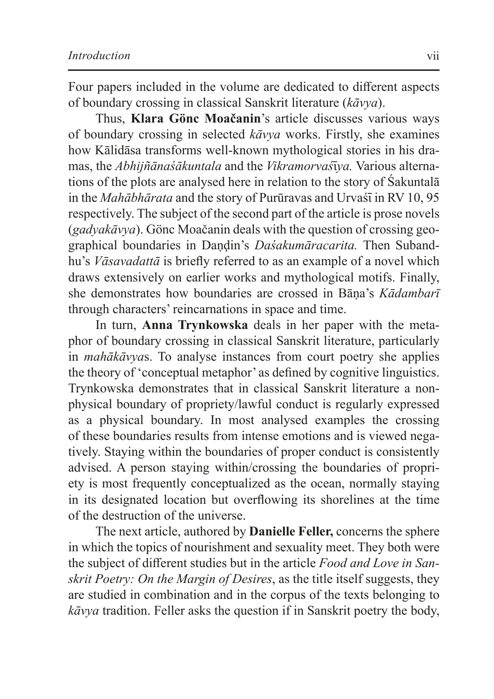Four papers included in the volume are dedicated to different aspects of boundary crossing in classical Sanskrit literature (*kāvya*).

Thus, **Klara Gönc Moačanin**'s article discusses various ways of boundary crossing in selected *kāvya* works. Firstly, she examines how Kālidāsa transforms well-known mythological stories in his dramas, the *Abhijñānaśākuntala* and the *Vikramorvaś* īya. Various alternations of the plots are analysed here in relation to the story of Śakuntalā in the *Mahābhārata* and the story of Purūravas and Urvaśī in RV 10, 95 respectively. The subject of the second part of the article is prose novels (*gadyakāvya*). Gönc Moačanin deals with the question of crossing geographical boundaries in Daṇḍin's *Daśakumāracarita.* Then Subandhu's *Vāsavadattā* is briefly referred to as an example of a novel which draws extensively on earlier works and mythological motifs. Finally, she demonstrates how boundaries are crossed in Bāṇa's *Kādambarī*  through characters' reincarnations in space and time.

In turn, **Anna Trynkowska** deals in her paper with the metaphor of boundary crossing in classical Sanskrit literature, particularly in *mahākāvya*s. To analyse instances from court poetry she applies the theory of 'conceptual metaphor' as defined by cognitive linguistics. Trynkowska demonstrates that in classical Sanskrit literature a nonphysical boundary of propriety/lawful conduct is regularly expressed as a physical boundary. In most analysed examples the crossing of these boundaries results from intense emotions and is viewed negatively. Staying within the boundaries of proper conduct is consistently advised. A person staying within/crossing the boundaries of propriety is most frequently conceptualized as the ocean, normally staying in its designated location but overflowing its shorelines at the time of the destruction of the universe.

The next article, authored by **Danielle Feller,** concerns the sphere in which the topics of nourishment and sexuality meet. They both were the subject of different studies but in the article *Food and Love in Sanskrit Poetry: On the Margin of Desires*, as the title itself suggests, they are studied in combination and in the corpus of the texts belonging to *kāvya* tradition. Feller asks the question if in Sanskrit poetry the body,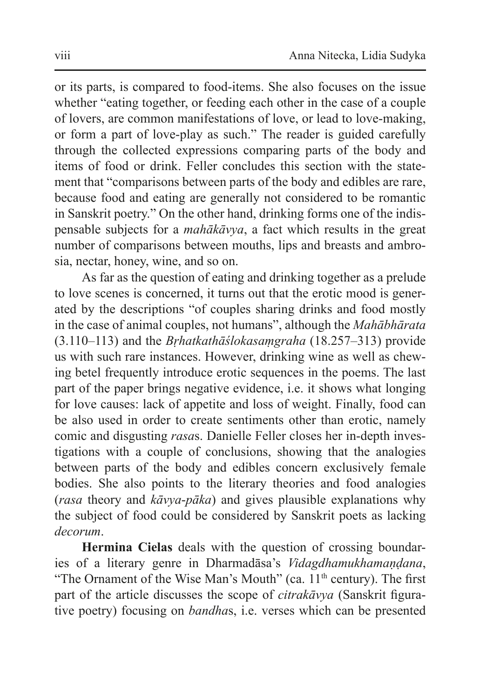or its parts, is compared to food-items. She also focuses on the issue whether "eating together, or feeding each other in the case of a couple of lovers, are common manifestations of love, or lead to love-making, or form a part of love-play as such." The reader is guided carefully through the collected expressions comparing parts of the body and items of food or drink. Feller concludes this section with the statement that "comparisons between parts of the body and edibles are rare, because food and eating are generally not considered to be romantic in Sanskrit poetry." On the other hand, drinking forms one of the indispensable subjects for a *mahākāvya*, a fact which results in the great number of comparisons between mouths, lips and breasts and ambrosia, nectar, honey, wine, and so on.

As far as the question of eating and drinking together as a prelude to love scenes is concerned, it turns out that the erotic mood is generated by the descriptions "of couples sharing drinks and food mostly in the case of animal couples, not humans", although the *Mahābhārata*  (3.110–113) and the *Bṛhatkathāślokasaṃgraha* (18.257–313) provide us with such rare instances. However, drinking wine as well as chewing betel frequently introduce erotic sequences in the poems. The last part of the paper brings negative evidence, i.e. it shows what longing for love causes: lack of appetite and loss of weight. Finally, food can be also used in order to create sentiments other than erotic, namely comic and disgusting *rasa*s. Danielle Feller closes her in-depth investigations with a couple of conclusions, showing that the analogies between parts of the body and edibles concern exclusively female bodies. She also points to the literary theories and food analogies (*rasa* theory and *kāvya*-*pāka*) and gives plausible explanations why the subject of food could be considered by Sanskrit poets as lacking *decorum*.

**Hermina Cielas** deals with the question of crossing boundaries of a literary genre in Dharmadāsa's *Vidagdhamukhamaṇḍana*, "The Ornament of the Wise Man's Mouth" (ca.  $11<sup>th</sup>$  century). The first part of the article discusses the scope of *citrakāvya* (Sanskrit figurative poetry) focusing on *bandha*s, i.e. verses which can be presented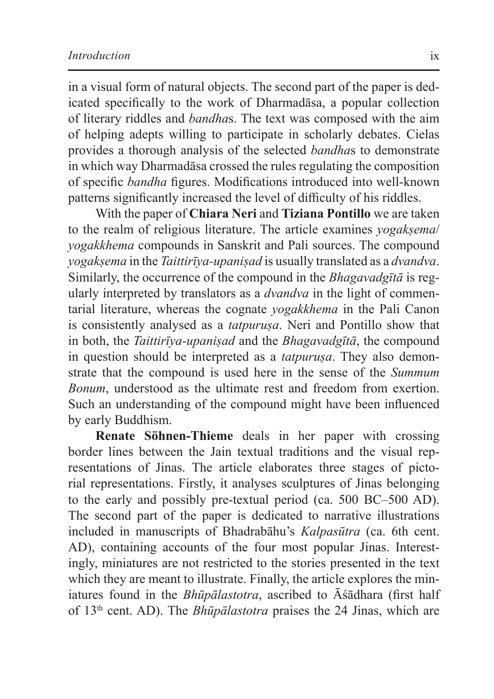in a visual form of natural objects. The second part of the paper is dedicated specifically to the work of Dharmadāsa, a popular collection of literary riddles and *bandha*s. The text was composed with the aim of helping adepts willing to participate in scholarly debates. Cielas provides a thorough analysis of the selected *bandha*s to demonstrate in which way Dharmadāsa crossed the rules regulating the composition of specific *bandha* figures. Modifications introduced into well-known patterns significantly increased the level of difficulty of his riddles.

With the paper of **Chiara Neri** and **Tiziana Pontillo** we are taken to the realm of religious literature. The article examines *yogakṣema*/ *yogakkhema* compounds in Sanskrit and Pali sources. The compound *yogakṣema* in the *Taittirīya-upaniṣad* is usually translated as a *dvandva*. Similarly, the occurrence of the compound in the *Bhagavadgītā* is regularly interpreted by translators as a *dvandva* in the light of commentarial literature, whereas the cognate *yogakkhema* in the Pali Canon is consistently analysed as a *tatpuruṣa*. Neri and Pontillo show that in both, the *Taittirīya-upaniṣad* and the *Bhagavadgītā*, the compound in question should be interpreted as a *tatpurusa*. They also demonstrate that the compound is used here in the sense of the *Summum Bonum*, understood as the ultimate rest and freedom from exertion. Such an understanding of the compound might have been influenced by early Buddhism.

**Renate Söhnen-Thieme** deals in her paper with crossing border lines between the Jain textual traditions and the visual representations of Jinas. The article elaborates three stages of pictorial representations. Firstly, it analyses sculptures of Jinas belonging to the early and possibly pre-textual period (ca. 500 BC–500 AD). The second part of the paper is dedicated to narrative illustrations included in manuscripts of Bhadrabāhu's *Kalpasūtra* (ca. 6th cent. AD), containing accounts of the four most popular Jinas. Interestingly, miniatures are not restricted to the stories presented in the text which they are meant to illustrate. Finally, the article explores the miniatures found in the *Bhūpālastotra*, ascribed to Āśādhara (first half of 13th cent. AD). The *Bhūpālastotra* praises the 24 Jinas, which are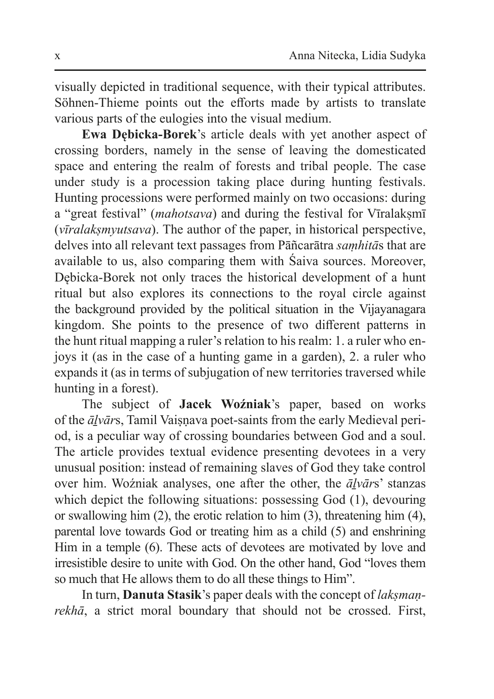visually depicted in traditional sequence, with their typical attributes. Söhnen-Thieme points out the efforts made by artists to translate various parts of the eulogies into the visual medium.

**Ewa Dębicka-Borek**'s article deals with yet another aspect of crossing borders, namely in the sense of leaving the domesticated space and entering the realm of forests and tribal people. The case under study is a procession taking place during hunting festivals. Hunting processions were performed mainly on two occasions: during a "great festival" (*mahotsava*) and during the festival for Vīralakṣmī (*vīralakṣmyutsava*). The author of the paper, in historical perspective, delves into all relevant text passages from Pāñcarātra *saṃhitā*s that are available to us, also comparing them with Śaiva sources. Moreover, Dębicka-Borek not only traces the historical development of a hunt ritual but also explores its connections to the royal circle against the background provided by the political situation in the Vijayanagara kingdom. She points to the presence of two different patterns in the hunt ritual mapping a ruler's relation to his realm: 1. a ruler who enjoys it (as in the case of a hunting game in a garden), 2. a ruler who expands it (as in terms of subjugation of new territories traversed while hunting in a forest).

The subject of **Jacek Woźniak**'s paper, based on works of the  $\bar{a}lv\bar{a}rs$ , Tamil Vaisnava poet-saints from the early Medieval period, is a peculiar way of crossing boundaries between God and a soul. The article provides textual evidence presenting devotees in a very unusual position: instead of remaining slaves of God they take control over him. Woźniak analyses, one after the other, the *āḻvār*s' stanzas which depict the following situations: possessing God  $(1)$ , devouring or swallowing him (2), the erotic relation to him (3), threatening him (4), parental love towards God or treating him as a child (5) and enshrining Him in a temple (6). These acts of devotees are motivated by love and irresistible desire to unite with God. On the other hand, God "loves them so much that He allows them to do all these things to Him".

In turn, **Danuta Stasik**'s paper deals with the concept of *lakṣmaṇrekhā*, a strict moral boundary that should not be crossed. First,